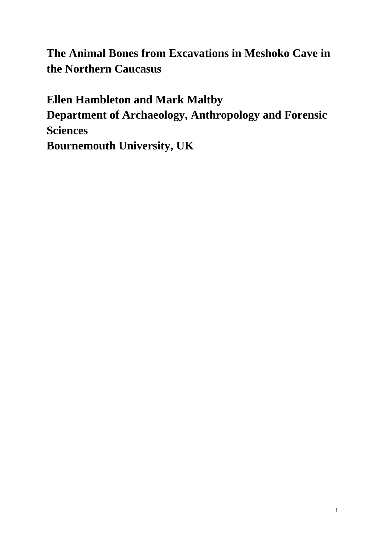**The Animal Bones from Excavations in Meshoko Cave in the Northern Caucasus**

**Ellen Hambleton and Mark Maltby Department of Archaeology, Anthropology and Forensic Sciences Bournemouth University, UK**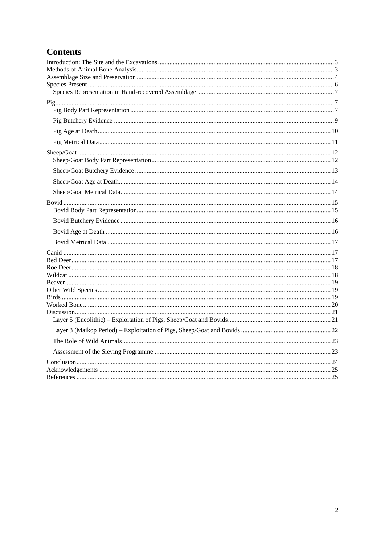# **Contents**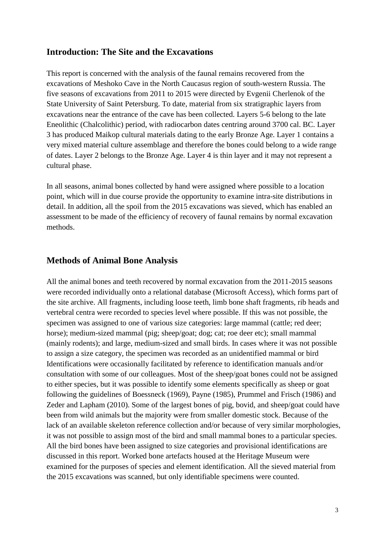# <span id="page-2-0"></span>**Introduction: The Site and the Excavations**

This report is concerned with the analysis of the faunal remains recovered from the excavations of Meshoko Cave in the North Caucasus region of south-western Russia. The five seasons of excavations from 2011 to 2015 were directed by Evgenii Cherlenok of the State University of Saint Petersburg. To date, material from six stratigraphic layers from excavations near the entrance of the cave has been collected. Layers 5-6 belong to the late Eneolithic (Chalcolithic) period, with radiocarbon dates centring around 3700 cal. BC. Layer 3 has produced Maikop cultural materials dating to the early Bronze Age. Layer 1 contains a very mixed material culture assemblage and therefore the bones could belong to a wide range of dates. Layer 2 belongs to the Bronze Age. Layer 4 is thin layer and it may not represent a cultural phase.

In all seasons, animal bones collected by hand were assigned where possible to a location point, which will in due course provide the opportunity to examine intra-site distributions in detail. In addition, all the spoil from the 2015 excavations was sieved, which has enabled an assessment to be made of the efficiency of recovery of faunal remains by normal excavation methods.

# <span id="page-2-1"></span>**Methods of Animal Bone Analysis**

All the animal bones and teeth recovered by normal excavation from the 2011-2015 seasons were recorded individually onto a relational database (Microsoft Access), which forms part of the site archive. All fragments, including loose teeth, limb bone shaft fragments, rib heads and vertebral centra were recorded to species level where possible. If this was not possible, the specimen was assigned to one of various size categories: large mammal (cattle; red deer; horse); medium-sized mammal (pig; sheep/goat; dog; cat; roe deer etc); small mammal (mainly rodents); and large, medium-sized and small birds. In cases where it was not possible to assign a size category, the specimen was recorded as an unidentified mammal or bird Identifications were occasionally facilitated by reference to identification manuals and/or consultation with some of our colleagues. Most of the sheep/goat bones could not be assigned to either species, but it was possible to identify some elements specifically as sheep or goat following the guidelines of Boessneck (1969), Payne (1985), Prummel and Frisch (1986) and Zeder and Lapham (2010). Some of the largest bones of pig, bovid, and sheep/goat could have been from wild animals but the majority were from smaller domestic stock. Because of the lack of an available skeleton reference collection and/or because of very similar morphologies, it was not possible to assign most of the bird and small mammal bones to a particular species. All the bird bones have been assigned to size categories and provisional identifications are discussed in this report. Worked bone artefacts housed at the Heritage Museum were examined for the purposes of species and element identification. All the sieved material from the 2015 excavations was scanned, but only identifiable specimens were counted.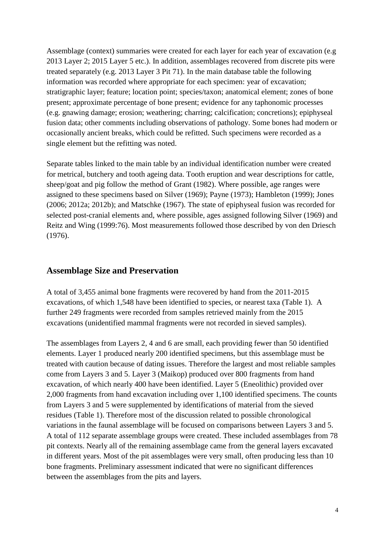Assemblage (context) summaries were created for each layer for each year of excavation (e.g 2013 Layer 2; 2015 Layer 5 etc.). In addition, assemblages recovered from discrete pits were treated separately (e.g. 2013 Layer 3 Pit 71). In the main database table the following information was recorded where appropriate for each specimen: year of excavation; stratigraphic layer; feature; location point; species/taxon; anatomical element; zones of bone present; approximate percentage of bone present; evidence for any taphonomic processes (e.g. gnawing damage; erosion; weathering; charring; calcification; concretions); epiphyseal fusion data; other comments including observations of pathology. Some bones had modern or occasionally ancient breaks, which could be refitted. Such specimens were recorded as a single element but the refitting was noted.

Separate tables linked to the main table by an individual identification number were created for metrical, butchery and tooth ageing data. Tooth eruption and wear descriptions for cattle, sheep/goat and pig follow the method of Grant (1982). Where possible, age ranges were assigned to these specimens based on Silver (1969); Payne (1973); Hambleton (1999); Jones (2006; 2012a; 2012b); and Matschke (1967). The state of epiphyseal fusion was recorded for selected post-cranial elements and, where possible, ages assigned following Silver (1969) and Reitz and Wing (1999:76). Most measurements followed those described by von den Driesch (1976).

### <span id="page-3-0"></span>**Assemblage Size and Preservation**

A total of 3,455 animal bone fragments were recovered by hand from the 2011-2015 excavations, of which 1,548 have been identified to species, or nearest taxa (Table 1). A further 249 fragments were recorded from samples retrieved mainly from the 2015 excavations (unidentified mammal fragments were not recorded in sieved samples).

The assemblages from Layers 2, 4 and 6 are small, each providing fewer than 50 identified elements. Layer 1 produced nearly 200 identified specimens, but this assemblage must be treated with caution because of dating issues. Therefore the largest and most reliable samples come from Layers 3 and 5. Layer 3 (Maikop) produced over 800 fragments from hand excavation, of which nearly 400 have been identified. Layer 5 (Eneolithic) provided over 2,000 fragments from hand excavation including over 1,100 identified specimens. The counts from Layers 3 and 5 were supplemented by identifications of material from the sieved residues (Table 1). Therefore most of the discussion related to possible chronological variations in the faunal assemblage will be focused on comparisons between Layers 3 and 5. A total of 112 separate assemblage groups were created. These included assemblages from 78 pit contexts. Nearly all of the remaining assemblage came from the general layers excavated in different years. Most of the pit assemblages were very small, often producing less than 10 bone fragments. Preliminary assessment indicated that were no significant differences between the assemblages from the pits and layers.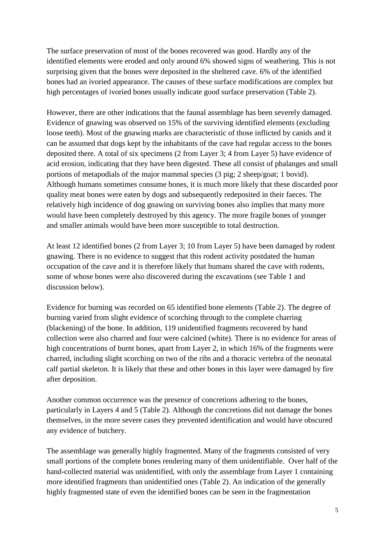The surface preservation of most of the bones recovered was good. Hardly any of the identified elements were eroded and only around 6% showed signs of weathering. This is not surprising given that the bones were deposited in the sheltered cave. 6% of the identified bones had an ivoried appearance. The causes of these surface modifications are complex but high percentages of ivoried bones usually indicate good surface preservation (Table 2).

However, there are other indications that the faunal assemblage has been severely damaged. Evidence of gnawing was observed on 15% of the surviving identified elements (excluding loose teeth). Most of the gnawing marks are characteristic of those inflicted by canids and it can be assumed that dogs kept by the inhabitants of the cave had regular access to the bones deposited there. A total of six specimens (2 from Layer 3; 4 from Layer 5) have evidence of acid erosion, indicating that they have been digested. These all consist of phalanges and small portions of metapodials of the major mammal species (3 pig; 2 sheep/goat; 1 bovid). Although humans sometimes consume bones, it is much more likely that these discarded poor quality meat bones were eaten by dogs and subsequently redeposited in their faeces. The relatively high incidence of dog gnawing on surviving bones also implies that many more would have been completely destroyed by this agency. The more fragile bones of younger and smaller animals would have been more susceptible to total destruction.

At least 12 identified bones (2 from Layer 3; 10 from Layer 5) have been damaged by rodent gnawing. There is no evidence to suggest that this rodent activity postdated the human occupation of the cave and it is therefore likely that humans shared the cave with rodents, some of whose bones were also discovered during the excavations (see Table 1 and discussion below).

Evidence for burning was recorded on 65 identified bone elements (Table 2). The degree of burning varied from slight evidence of scorching through to the complete charring (blackening) of the bone. In addition, 119 unidentified fragments recovered by hand collection were also charred and four were calcined (white). There is no evidence for areas of high concentrations of burnt bones, apart from Layer 2, in which 16% of the fragments were charred, including slight scorching on two of the ribs and a thoracic vertebra of the neonatal calf partial skeleton. It is likely that these and other bones in this layer were damaged by fire after deposition.

Another common occurrence was the presence of concretions adhering to the bones, particularly in Layers 4 and 5 (Table 2). Although the concretions did not damage the bones themselves, in the more severe cases they prevented identification and would have obscured any evidence of butchery.

The assemblage was generally highly fragmented. Many of the fragments consisted of very small portions of the complete bones rendering many of them unidentifiable. Over half of the hand-collected material was unidentified, with only the assemblage from Layer 1 containing more identified fragments than unidentified ones (Table 2). An indication of the generally highly fragmented state of even the identified bones can be seen in the fragmentation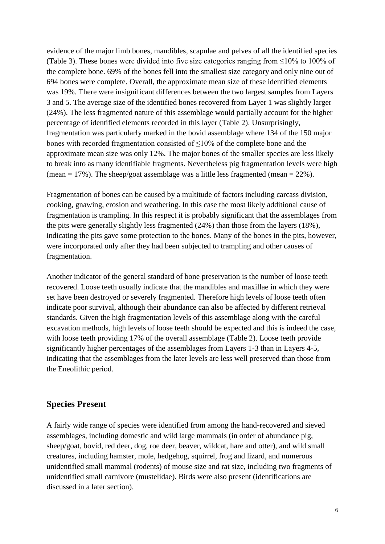evidence of the major limb bones, mandibles, scapulae and pelves of all the identified species (Table 3). These bones were divided into five size categories ranging from  $\leq 10\%$  to 100% of the complete bone. 69% of the bones fell into the smallest size category and only nine out of 694 bones were complete. Overall, the approximate mean size of these identified elements was 19%. There were insignificant differences between the two largest samples from Layers 3 and 5. The average size of the identified bones recovered from Layer 1 was slightly larger (24%). The less fragmented nature of this assemblage would partially account for the higher percentage of identified elements recorded in this layer (Table 2). Unsurprisingly, fragmentation was particularly marked in the bovid assemblage where 134 of the 150 major bones with recorded fragmentation consisted of  $\leq 10\%$  of the complete bone and the approximate mean size was only 12%. The major bones of the smaller species are less likely to break into as many identifiable fragments. Nevertheless pig fragmentation levels were high (mean  $= 17\%$ ). The sheep/goat assemblage was a little less fragmented (mean  $= 22\%$ ).

Fragmentation of bones can be caused by a multitude of factors including carcass division, cooking, gnawing, erosion and weathering. In this case the most likely additional cause of fragmentation is trampling. In this respect it is probably significant that the assemblages from the pits were generally slightly less fragmented (24%) than those from the layers (18%), indicating the pits gave some protection to the bones. Many of the bones in the pits, however, were incorporated only after they had been subjected to trampling and other causes of fragmentation.

Another indicator of the general standard of bone preservation is the number of loose teeth recovered. Loose teeth usually indicate that the mandibles and maxillae in which they were set have been destroyed or severely fragmented. Therefore high levels of loose teeth often indicate poor survival, although their abundance can also be affected by different retrieval standards. Given the high fragmentation levels of this assemblage along with the careful excavation methods, high levels of loose teeth should be expected and this is indeed the case, with loose teeth providing 17% of the overall assemblage (Table 2). Loose teeth provide significantly higher percentages of the assemblages from Layers 1-3 than in Layers 4-5, indicating that the assemblages from the later levels are less well preserved than those from the Eneolithic period.

#### <span id="page-5-0"></span>**Species Present**

A fairly wide range of species were identified from among the hand-recovered and sieved assemblages, including domestic and wild large mammals (in order of abundance pig, sheep/goat, bovid, red deer, dog, roe deer, beaver, wildcat, hare and otter), and wild small creatures, including hamster, mole, hedgehog, squirrel, frog and lizard, and numerous unidentified small mammal (rodents) of mouse size and rat size, including two fragments of unidentified small carnivore (mustelidae). Birds were also present (identifications are discussed in a later section).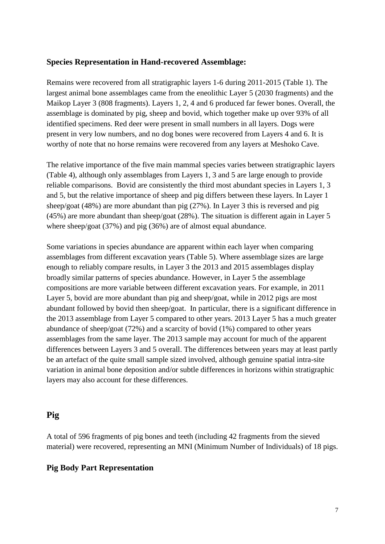#### <span id="page-6-0"></span>**Species Representation in Hand-recovered Assemblage:**

Remains were recovered from all stratigraphic layers 1-6 during 2011-2015 (Table 1). The largest animal bone assemblages came from the eneolithic Layer 5 (2030 fragments) and the Maikop Layer 3 (808 fragments). Layers 1, 2, 4 and 6 produced far fewer bones. Overall, the assemblage is dominated by pig, sheep and bovid, which together make up over 93% of all identified specimens. Red deer were present in small numbers in all layers. Dogs were present in very low numbers, and no dog bones were recovered from Layers 4 and 6. It is worthy of note that no horse remains were recovered from any layers at Meshoko Cave.

The relative importance of the five main mammal species varies between stratigraphic layers (Table 4), although only assemblages from Layers 1, 3 and 5 are large enough to provide reliable comparisons. Bovid are consistently the third most abundant species in Layers 1, 3 and 5, but the relative importance of sheep and pig differs between these layers. In Layer 1 sheep/goat (48%) are more abundant than pig (27%). In Layer 3 this is reversed and pig (45%) are more abundant than sheep/goat (28%). The situation is different again in Layer 5 where sheep/goat (37%) and pig (36%) are of almost equal abundance.

Some variations in species abundance are apparent within each layer when comparing assemblages from different excavation years (Table 5). Where assemblage sizes are large enough to reliably compare results, in Layer 3 the 2013 and 2015 assemblages display broadly similar patterns of species abundance. However, in Layer 5 the assemblage compositions are more variable between different excavation years. For example, in 2011 Layer 5, bovid are more abundant than pig and sheep/goat, while in 2012 pigs are most abundant followed by bovid then sheep/goat. In particular, there is a significant difference in the 2013 assemblage from Layer 5 compared to other years. 2013 Layer 5 has a much greater abundance of sheep/goat (72%) and a scarcity of bovid (1%) compared to other years assemblages from the same layer. The 2013 sample may account for much of the apparent differences between Layers 3 and 5 overall. The differences between years may at least partly be an artefact of the quite small sample sized involved, although genuine spatial intra-site variation in animal bone deposition and/or subtle differences in horizons within stratigraphic layers may also account for these differences.

# <span id="page-6-1"></span>**Pig**

A total of 596 fragments of pig bones and teeth (including 42 fragments from the sieved material) were recovered, representing an MNI (Minimum Number of Individuals) of 18 pigs.

#### <span id="page-6-2"></span>**Pig Body Part Representation**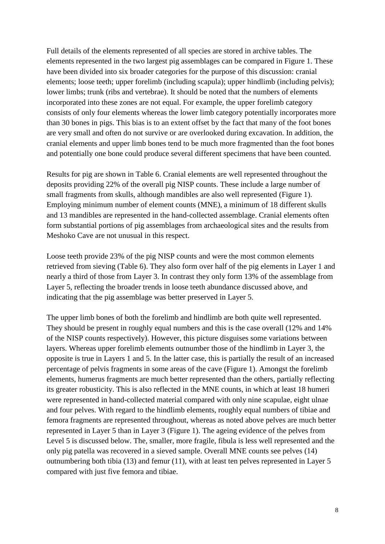Full details of the elements represented of all species are stored in archive tables. The elements represented in the two largest pig assemblages can be compared in Figure 1. These have been divided into six broader categories for the purpose of this discussion: cranial elements; loose teeth; upper forelimb (including scapula); upper hindlimb (including pelvis); lower limbs; trunk (ribs and vertebrae). It should be noted that the numbers of elements incorporated into these zones are not equal. For example, the upper forelimb category consists of only four elements whereas the lower limb category potentially incorporates more than 30 bones in pigs. This bias is to an extent offset by the fact that many of the foot bones are very small and often do not survive or are overlooked during excavation. In addition, the cranial elements and upper limb bones tend to be much more fragmented than the foot bones and potentially one bone could produce several different specimens that have been counted.

Results for pig are shown in Table 6. Cranial elements are well represented throughout the deposits providing 22% of the overall pig NISP counts. These include a large number of small fragments from skulls, although mandibles are also well represented (Figure 1). Employing minimum number of element counts (MNE), a minimum of 18 different skulls and 13 mandibles are represented in the hand-collected assemblage. Cranial elements often form substantial portions of pig assemblages from archaeological sites and the results from Meshoko Cave are not unusual in this respect.

Loose teeth provide 23% of the pig NISP counts and were the most common elements retrieved from sieving (Table 6). They also form over half of the pig elements in Layer 1 and nearly a third of those from Layer 3. In contrast they only form 13% of the assemblage from Layer 5, reflecting the broader trends in loose teeth abundance discussed above, and indicating that the pig assemblage was better preserved in Layer 5.

The upper limb bones of both the forelimb and hindlimb are both quite well represented. They should be present in roughly equal numbers and this is the case overall (12% and 14% of the NISP counts respectively). However, this picture disguises some variations between layers. Whereas upper forelimb elements outnumber those of the hindlimb in Layer 3, the opposite is true in Layers 1 and 5. In the latter case, this is partially the result of an increased percentage of pelvis fragments in some areas of the cave (Figure 1). Amongst the forelimb elements, humerus fragments are much better represented than the others, partially reflecting its greater robusticity. This is also reflected in the MNE counts, in which at least 18 humeri were represented in hand-collected material compared with only nine scapulae, eight ulnae and four pelves. With regard to the hindlimb elements, roughly equal numbers of tibiae and femora fragments are represented throughout, whereas as noted above pelves are much better represented in Layer 5 than in Layer 3 (Figure 1). The ageing evidence of the pelves from Level 5 is discussed below. The, smaller, more fragile, fibula is less well represented and the only pig patella was recovered in a sieved sample. Overall MNE counts see pelves (14) outnumbering both tibia (13) and femur (11), with at least ten pelves represented in Layer 5 compared with just five femora and tibiae.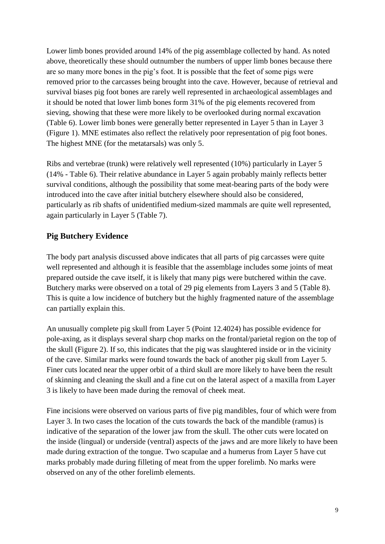Lower limb bones provided around 14% of the pig assemblage collected by hand. As noted above, theoretically these should outnumber the numbers of upper limb bones because there are so many more bones in the pig's foot. It is possible that the feet of some pigs were removed prior to the carcasses being brought into the cave. However, because of retrieval and survival biases pig foot bones are rarely well represented in archaeological assemblages and it should be noted that lower limb bones form 31% of the pig elements recovered from sieving, showing that these were more likely to be overlooked during normal excavation (Table 6). Lower limb bones were generally better represented in Layer 5 than in Layer 3 (Figure 1). MNE estimates also reflect the relatively poor representation of pig foot bones. The highest MNE (for the metatarsals) was only 5.

Ribs and vertebrae (trunk) were relatively well represented (10%) particularly in Layer 5 (14% - Table 6). Their relative abundance in Layer 5 again probably mainly reflects better survival conditions, although the possibility that some meat-bearing parts of the body were introduced into the cave after initial butchery elsewhere should also be considered, particularly as rib shafts of unidentified medium-sized mammals are quite well represented, again particularly in Layer 5 (Table 7).

# <span id="page-8-0"></span>**Pig Butchery Evidence**

The body part analysis discussed above indicates that all parts of pig carcasses were quite well represented and although it is feasible that the assemblage includes some joints of meat prepared outside the cave itself, it is likely that many pigs were butchered within the cave. Butchery marks were observed on a total of 29 pig elements from Layers 3 and 5 (Table 8). This is quite a low incidence of butchery but the highly fragmented nature of the assemblage can partially explain this.

An unusually complete pig skull from Layer 5 (Point 12.4024) has possible evidence for pole-axing, as it displays several sharp chop marks on the frontal/parietal region on the top of the skull (Figure 2). If so, this indicates that the pig was slaughtered inside or in the vicinity of the cave. Similar marks were found towards the back of another pig skull from Layer 5. Finer cuts located near the upper orbit of a third skull are more likely to have been the result of skinning and cleaning the skull and a fine cut on the lateral aspect of a maxilla from Layer 3 is likely to have been made during the removal of cheek meat.

Fine incisions were observed on various parts of five pig mandibles, four of which were from Layer 3. In two cases the location of the cuts towards the back of the mandible (ramus) is indicative of the separation of the lower jaw from the skull. The other cuts were located on the inside (lingual) or underside (ventral) aspects of the jaws and are more likely to have been made during extraction of the tongue. Two scapulae and a humerus from Layer 5 have cut marks probably made during filleting of meat from the upper forelimb. No marks were observed on any of the other forelimb elements.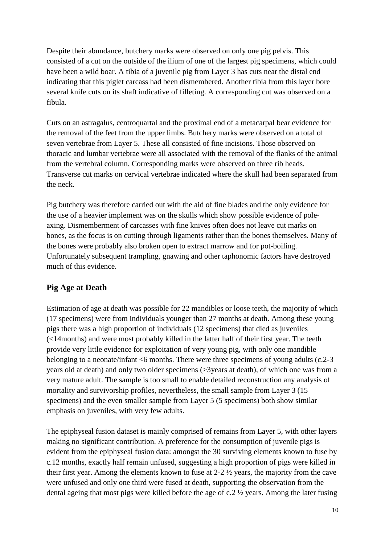Despite their abundance, butchery marks were observed on only one pig pelvis. This consisted of a cut on the outside of the ilium of one of the largest pig specimens, which could have been a wild boar. A tibia of a juvenile pig from Layer 3 has cuts near the distal end indicating that this piglet carcass had been dismembered. Another tibia from this layer bore several knife cuts on its shaft indicative of filleting. A corresponding cut was observed on a fibula.

Cuts on an astragalus, centroquartal and the proximal end of a metacarpal bear evidence for the removal of the feet from the upper limbs. Butchery marks were observed on a total of seven vertebrae from Layer 5. These all consisted of fine incisions. Those observed on thoracic and lumbar vertebrae were all associated with the removal of the flanks of the animal from the vertebral column. Corresponding marks were observed on three rib heads. Transverse cut marks on cervical vertebrae indicated where the skull had been separated from the neck.

Pig butchery was therefore carried out with the aid of fine blades and the only evidence for the use of a heavier implement was on the skulls which show possible evidence of poleaxing. Dismemberment of carcasses with fine knives often does not leave cut marks on bones, as the focus is on cutting through ligaments rather than the bones themselves. Many of the bones were probably also broken open to extract marrow and for pot-boiling. Unfortunately subsequent trampling, gnawing and other taphonomic factors have destroyed much of this evidence.

# <span id="page-9-0"></span>**Pig Age at Death**

Estimation of age at death was possible for 22 mandibles or loose teeth, the majority of which (17 specimens) were from individuals younger than 27 months at death. Among these young pigs there was a high proportion of individuals (12 specimens) that died as juveniles (<14months) and were most probably killed in the latter half of their first year. The teeth provide very little evidence for exploitation of very young pig, with only one mandible belonging to a neonate/infant <6 months. There were three specimens of young adults (c.2-3 years old at death) and only two older specimens (>3years at death), of which one was from a very mature adult. The sample is too small to enable detailed reconstruction any analysis of mortality and survivorship profiles, nevertheless, the small sample from Layer 3 (15 specimens) and the even smaller sample from Layer 5 (5 specimens) both show similar emphasis on juveniles, with very few adults.

The epiphyseal fusion dataset is mainly comprised of remains from Layer 5, with other layers making no significant contribution. A preference for the consumption of juvenile pigs is evident from the epiphyseal fusion data: amongst the 30 surviving elements known to fuse by c.12 months, exactly half remain unfused, suggesting a high proportion of pigs were killed in their first year. Among the elements known to fuse at 2-2 ½ years, the majority from the cave were unfused and only one third were fused at death, supporting the observation from the dental ageing that most pigs were killed before the age of c.2 ½ years. Among the later fusing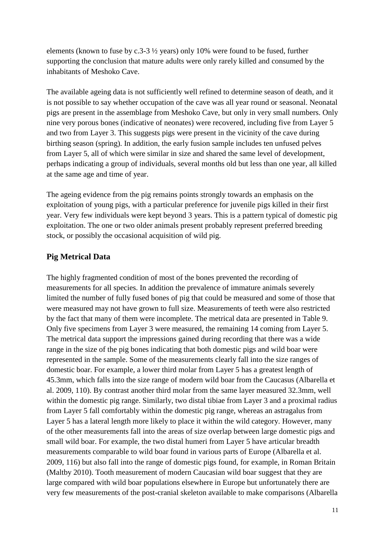elements (known to fuse by c.3-3 ½ years) only 10% were found to be fused, further supporting the conclusion that mature adults were only rarely killed and consumed by the inhabitants of Meshoko Cave.

The available ageing data is not sufficiently well refined to determine season of death, and it is not possible to say whether occupation of the cave was all year round or seasonal. Neonatal pigs are present in the assemblage from Meshoko Cave, but only in very small numbers. Only nine very porous bones (indicative of neonates) were recovered, including five from Layer 5 and two from Layer 3. This suggests pigs were present in the vicinity of the cave during birthing season (spring). In addition, the early fusion sample includes ten unfused pelves from Layer 5, all of which were similar in size and shared the same level of development, perhaps indicating a group of individuals, several months old but less than one year, all killed at the same age and time of year.

The ageing evidence from the pig remains points strongly towards an emphasis on the exploitation of young pigs, with a particular preference for juvenile pigs killed in their first year. Very few individuals were kept beyond 3 years. This is a pattern typical of domestic pig exploitation. The one or two older animals present probably represent preferred breeding stock, or possibly the occasional acquisition of wild pig.

# <span id="page-10-0"></span>**Pig Metrical Data**

The highly fragmented condition of most of the bones prevented the recording of measurements for all species. In addition the prevalence of immature animals severely limited the number of fully fused bones of pig that could be measured and some of those that were measured may not have grown to full size. Measurements of teeth were also restricted by the fact that many of them were incomplete. The metrical data are presented in Table 9. Only five specimens from Layer 3 were measured, the remaining 14 coming from Layer 5. The metrical data support the impressions gained during recording that there was a wide range in the size of the pig bones indicating that both domestic pigs and wild boar were represented in the sample. Some of the measurements clearly fall into the size ranges of domestic boar. For example, a lower third molar from Layer 5 has a greatest length of 45.3mm, which falls into the size range of modern wild boar from the Caucasus (Albarella et al. 2009, 110). By contrast another third molar from the same layer measured 32.3mm, well within the domestic pig range. Similarly, two distal tibiae from Layer 3 and a proximal radius from Layer 5 fall comfortably within the domestic pig range, whereas an astragalus from Layer 5 has a lateral length more likely to place it within the wild category. However, many of the other measurements fall into the areas of size overlap between large domestic pigs and small wild boar. For example, the two distal humeri from Layer 5 have articular breadth measurements comparable to wild boar found in various parts of Europe (Albarella et al. 2009, 116) but also fall into the range of domestic pigs found, for example, in Roman Britain (Maltby 2010). Tooth measurement of modern Caucasian wild boar suggest that they are large compared with wild boar populations elsewhere in Europe but unfortunately there are very few measurements of the post-cranial skeleton available to make comparisons (Albarella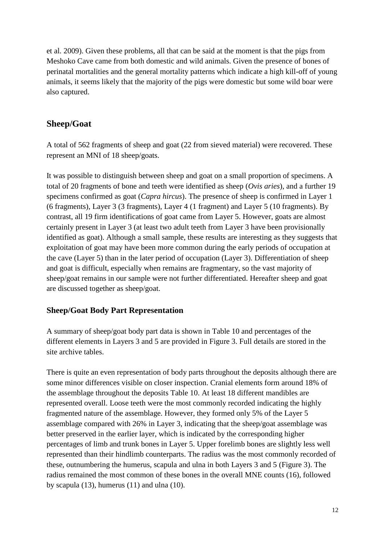et al. 2009). Given these problems, all that can be said at the moment is that the pigs from Meshoko Cave came from both domestic and wild animals. Given the presence of bones of perinatal mortalities and the general mortality patterns which indicate a high kill-off of young animals, it seems likely that the majority of the pigs were domestic but some wild boar were also captured.

# <span id="page-11-0"></span>**Sheep/Goat**

A total of 562 fragments of sheep and goat (22 from sieved material) were recovered. These represent an MNI of 18 sheep/goats.

It was possible to distinguish between sheep and goat on a small proportion of specimens. A total of 20 fragments of bone and teeth were identified as sheep (*Ovis aries*), and a further 19 specimens confirmed as goat (*Capra hircus*). The presence of sheep is confirmed in Layer 1 (6 fragments), Layer 3 (3 fragments), Layer 4 (1 fragment) and Layer 5 (10 fragments). By contrast, all 19 firm identifications of goat came from Layer 5. However, goats are almost certainly present in Layer 3 (at least two adult teeth from Layer 3 have been provisionally identified as goat). Although a small sample, these results are interesting as they suggests that exploitation of goat may have been more common during the early periods of occupation at the cave (Layer 5) than in the later period of occupation (Layer 3). Differentiation of sheep and goat is difficult, especially when remains are fragmentary, so the vast majority of sheep/goat remains in our sample were not further differentiated. Hereafter sheep and goat are discussed together as sheep/goat.

# <span id="page-11-1"></span>**Sheep/Goat Body Part Representation**

A summary of sheep/goat body part data is shown in Table 10 and percentages of the different elements in Layers 3 and 5 are provided in Figure 3. Full details are stored in the site archive tables.

There is quite an even representation of body parts throughout the deposits although there are some minor differences visible on closer inspection. Cranial elements form around 18% of the assemblage throughout the deposits Table 10. At least 18 different mandibles are represented overall. Loose teeth were the most commonly recorded indicating the highly fragmented nature of the assemblage. However, they formed only 5% of the Layer 5 assemblage compared with 26% in Layer 3, indicating that the sheep/goat assemblage was better preserved in the earlier layer, which is indicated by the corresponding higher percentages of limb and trunk bones in Layer 5. Upper forelimb bones are slightly less well represented than their hindlimb counterparts. The radius was the most commonly recorded of these, outnumbering the humerus, scapula and ulna in both Layers 3 and 5 (Figure 3). The radius remained the most common of these bones in the overall MNE counts (16), followed by scapula  $(13)$ , humerus  $(11)$  and ulna  $(10)$ .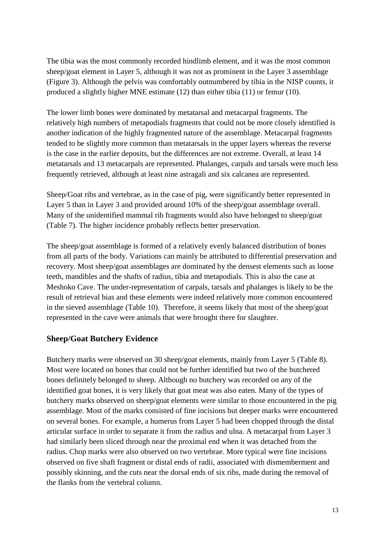The tibia was the most commonly recorded hindlimb element, and it was the most common sheep/goat element in Layer 5, although it was not as prominent in the Layer 3 assemblage (Figure 3). Although the pelvis was comfortably outnumbered by tibia in the NISP counts, it produced a slightly higher MNE estimate (12) than either tibia (11) or femur (10).

The lower limb bones were dominated by metatarsal and metacarpal fragments. The relatively high numbers of metapodials fragments that could not be more closely identified is another indication of the highly fragmented nature of the assemblage. Metacarpal fragments tended to be slightly more common than metatarsals in the upper layers whereas the reverse is the case in the earlier deposits, but the differences are not extreme. Overall, at least 14 metatarsals and 13 metacarpals are represented. Phalanges, carpals and tarsals were much less frequently retrieved, although at least nine astragali and six calcanea are represented.

Sheep/Goat ribs and vertebrae, as in the case of pig, were significantly better represented in Layer 5 than in Layer 3 and provided around 10% of the sheep/goat assemblage overall. Many of the unidentified mammal rib fragments would also have belonged to sheep/goat (Table 7). The higher incidence probably reflects better preservation.

The sheep/goat assemblage is formed of a relatively evenly balanced distribution of bones from all parts of the body. Variations can mainly be attributed to differential preservation and recovery. Most sheep/goat assemblages are dominated by the densest elements such as loose teeth, mandibles and the shafts of radius, tibia and metapodials. This is also the case at Meshoko Cave. The under-representation of carpals, tarsals and phalanges is likely to be the result of retrieval bias and these elements were indeed relatively more common encountered in the sieved assemblage (Table 10). Therefore, it seems likely that most of the sheep/goat represented in the cave were animals that were brought there for slaughter.

#### <span id="page-12-0"></span>**Sheep/Goat Butchery Evidence**

Butchery marks were observed on 30 sheep/goat elements, mainly from Layer 5 (Table 8). Most were located on bones that could not be further identified but two of the butchered bones definitely belonged to sheep. Although no butchery was recorded on any of the identified goat bones, it is very likely that goat meat was also eaten. Many of the types of butchery marks observed on sheep/goat elements were similar to those encountered in the pig assemblage. Most of the marks consisted of fine incisions but deeper marks were encountered on several bones. For example, a humerus from Layer 5 had been chopped through the distal articular surface in order to separate it from the radius and ulna. A metacarpal from Layer 3 had similarly been sliced through near the proximal end when it was detached from the radius. Chop marks were also observed on two vertebrae. More typical were fine incisions observed on five shaft fragment or distal ends of radii, associated with dismemberment and possibly skinning, and the cuts near the dorsal ends of six ribs, made during the removal of the flanks from the vertebral column.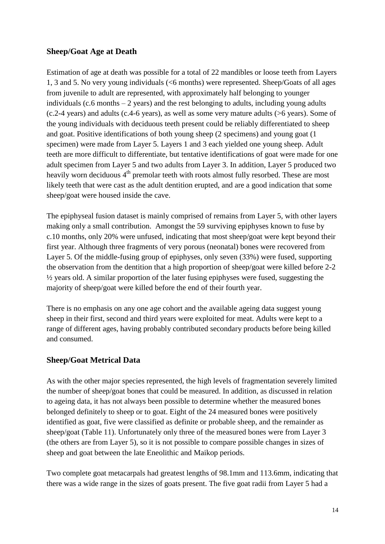# <span id="page-13-0"></span>**Sheep/Goat Age at Death**

Estimation of age at death was possible for a total of 22 mandibles or loose teeth from Layers 1, 3 and 5. No very young individuals (<6 months) were represented. Sheep/Goats of all ages from juvenile to adult are represented, with approximately half belonging to younger individuals (c.6 months  $-2$  years) and the rest belonging to adults, including young adults (c.2-4 years) and adults (c.4-6 years), as well as some very mature adults (>6 years). Some of the young individuals with deciduous teeth present could be reliably differentiated to sheep and goat. Positive identifications of both young sheep (2 specimens) and young goat (1 specimen) were made from Layer 5. Layers 1 and 3 each yielded one young sheep. Adult teeth are more difficult to differentiate, but tentative identifications of goat were made for one adult specimen from Layer 5 and two adults from Layer 3. In addition, Layer 5 produced two heavily worn deciduous 4<sup>th</sup> premolar teeth with roots almost fully resorbed. These are most likely teeth that were cast as the adult dentition erupted, and are a good indication that some sheep/goat were housed inside the cave.

The epiphyseal fusion dataset is mainly comprised of remains from Layer 5, with other layers making only a small contribution. Amongst the 59 surviving epiphyses known to fuse by c.10 months, only 20% were unfused, indicating that most sheep/goat were kept beyond their first year. Although three fragments of very porous (neonatal) bones were recovered from Layer 5. Of the middle-fusing group of epiphyses, only seven (33%) were fused, supporting the observation from the dentition that a high proportion of sheep/goat were killed before 2-2 ½ years old. A similar proportion of the later fusing epiphyses were fused, suggesting the majority of sheep/goat were killed before the end of their fourth year.

There is no emphasis on any one age cohort and the available ageing data suggest young sheep in their first, second and third years were exploited for meat. Adults were kept to a range of different ages, having probably contributed secondary products before being killed and consumed.

#### <span id="page-13-1"></span>**Sheep/Goat Metrical Data**

As with the other major species represented, the high levels of fragmentation severely limited the number of sheep/goat bones that could be measured. In addition, as discussed in relation to ageing data, it has not always been possible to determine whether the measured bones belonged definitely to sheep or to goat. Eight of the 24 measured bones were positively identified as goat, five were classified as definite or probable sheep, and the remainder as sheep/goat (Table 11). Unfortunately only three of the measured bones were from Layer 3 (the others are from Layer 5), so it is not possible to compare possible changes in sizes of sheep and goat between the late Eneolithic and Maikop periods.

Two complete goat metacarpals had greatest lengths of 98.1mm and 113.6mm, indicating that there was a wide range in the sizes of goats present. The five goat radii from Layer 5 had a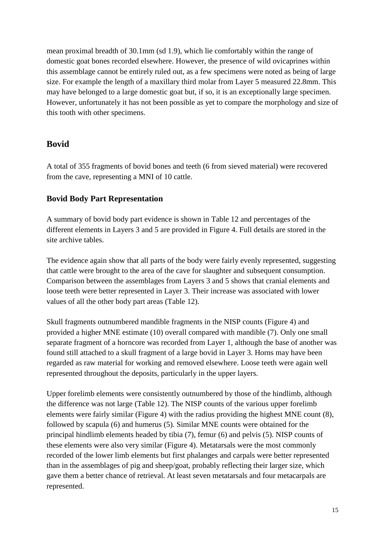mean proximal breadth of 30.1mm (sd 1.9), which lie comfortably within the range of domestic goat bones recorded elsewhere. However, the presence of wild ovicaprines within this assemblage cannot be entirely ruled out, as a few specimens were noted as being of large size. For example the length of a maxillary third molar from Layer 5 measured 22.8mm. This may have belonged to a large domestic goat but, if so, it is an exceptionally large specimen. However, unfortunately it has not been possible as yet to compare the morphology and size of this tooth with other specimens.

# <span id="page-14-0"></span>**Bovid**

A total of 355 fragments of bovid bones and teeth (6 from sieved material) were recovered from the cave, representing a MNI of 10 cattle.

# <span id="page-14-1"></span>**Bovid Body Part Representation**

A summary of bovid body part evidence is shown in Table 12 and percentages of the different elements in Layers 3 and 5 are provided in Figure 4. Full details are stored in the site archive tables.

The evidence again show that all parts of the body were fairly evenly represented, suggesting that cattle were brought to the area of the cave for slaughter and subsequent consumption. Comparison between the assemblages from Layers 3 and 5 shows that cranial elements and loose teeth were better represented in Layer 3. Their increase was associated with lower values of all the other body part areas (Table 12).

Skull fragments outnumbered mandible fragments in the NISP counts (Figure 4) and provided a higher MNE estimate (10) overall compared with mandible (7). Only one small separate fragment of a horncore was recorded from Layer 1, although the base of another was found still attached to a skull fragment of a large bovid in Layer 3. Horns may have been regarded as raw material for working and removed elsewhere. Loose teeth were again well represented throughout the deposits, particularly in the upper layers.

Upper forelimb elements were consistently outnumbered by those of the hindlimb, although the difference was not large (Table 12). The NISP counts of the various upper forelimb elements were fairly similar (Figure 4) with the radius providing the highest MNE count (8), followed by scapula (6) and humerus (5). Similar MNE counts were obtained for the principal hindlimb elements headed by tibia (7), femur (6) and pelvis (5). NISP counts of these elements were also very similar (Figure 4). Metatarsals were the most commonly recorded of the lower limb elements but first phalanges and carpals were better represented than in the assemblages of pig and sheep/goat, probably reflecting their larger size, which gave them a better chance of retrieval. At least seven metatarsals and four metacarpals are represented.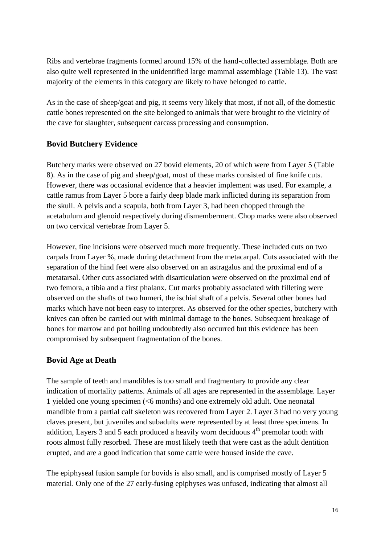Ribs and vertebrae fragments formed around 15% of the hand-collected assemblage. Both are also quite well represented in the unidentified large mammal assemblage (Table 13). The vast majority of the elements in this category are likely to have belonged to cattle.

As in the case of sheep/goat and pig, it seems very likely that most, if not all, of the domestic cattle bones represented on the site belonged to animals that were brought to the vicinity of the cave for slaughter, subsequent carcass processing and consumption.

# <span id="page-15-0"></span>**Bovid Butchery Evidence**

Butchery marks were observed on 27 bovid elements, 20 of which were from Layer 5 (Table 8). As in the case of pig and sheep/goat, most of these marks consisted of fine knife cuts. However, there was occasional evidence that a heavier implement was used. For example, a cattle ramus from Layer 5 bore a fairly deep blade mark inflicted during its separation from the skull. A pelvis and a scapula, both from Layer 3, had been chopped through the acetabulum and glenoid respectively during dismemberment. Chop marks were also observed on two cervical vertebrae from Layer 5.

However, fine incisions were observed much more frequently. These included cuts on two carpals from Layer %, made during detachment from the metacarpal. Cuts associated with the separation of the hind feet were also observed on an astragalus and the proximal end of a metatarsal. Other cuts associated with disarticulation were observed on the proximal end of two femora, a tibia and a first phalanx. Cut marks probably associated with filleting were observed on the shafts of two humeri, the ischial shaft of a pelvis. Several other bones had marks which have not been easy to interpret. As observed for the other species, butchery with knives can often be carried out with minimal damage to the bones. Subsequent breakage of bones for marrow and pot boiling undoubtedly also occurred but this evidence has been compromised by subsequent fragmentation of the bones.

# <span id="page-15-1"></span>**Bovid Age at Death**

The sample of teeth and mandibles is too small and fragmentary to provide any clear indication of mortality patterns. Animals of all ages are represented in the assemblage. Layer 1 yielded one young specimen (<6 months) and one extremely old adult. One neonatal mandible from a partial calf skeleton was recovered from Layer 2. Layer 3 had no very young claves present, but juveniles and subadults were represented by at least three specimens. In addition, Layers 3 and 5 each produced a heavily worn deciduous  $4<sup>th</sup>$  premolar tooth with roots almost fully resorbed. These are most likely teeth that were cast as the adult dentition erupted, and are a good indication that some cattle were housed inside the cave.

The epiphyseal fusion sample for bovids is also small, and is comprised mostly of Layer 5 material. Only one of the 27 early-fusing epiphyses was unfused, indicating that almost all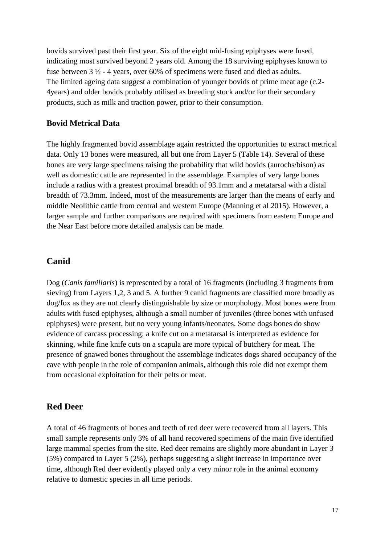bovids survived past their first year. Six of the eight mid-fusing epiphyses were fused, indicating most survived beyond 2 years old. Among the 18 surviving epiphyses known to fuse between 3 ½ - 4 years, over 60% of specimens were fused and died as adults. The limited ageing data suggest a combination of younger bovids of prime meat age (c.2- 4years) and older bovids probably utilised as breeding stock and/or for their secondary products, such as milk and traction power, prior to their consumption.

#### <span id="page-16-0"></span>**Bovid Metrical Data**

The highly fragmented bovid assemblage again restricted the opportunities to extract metrical data. Only 13 bones were measured, all but one from Layer 5 (Table 14). Several of these bones are very large specimens raising the probability that wild bovids (aurochs/bison) as well as domestic cattle are represented in the assemblage. Examples of very large bones include a radius with a greatest proximal breadth of 93.1mm and a metatarsal with a distal breadth of 73.3mm. Indeed, most of the measurements are larger than the means of early and middle Neolithic cattle from central and western Europe (Manning et al 2015). However, a larger sample and further comparisons are required with specimens from eastern Europe and the Near East before more detailed analysis can be made.

### <span id="page-16-1"></span>**Canid**

Dog (*Canis familiaris*) is represented by a total of 16 fragments (including 3 fragments from sieving) from Layers 1,2, 3 and 5. A further 9 canid fragments are classified more broadly as dog/fox as they are not clearly distinguishable by size or morphology. Most bones were from adults with fused epiphyses, although a small number of juveniles (three bones with unfused epiphyses) were present, but no very young infants/neonates. Some dogs bones do show evidence of carcass processing; a knife cut on a metatarsal is interpreted as evidence for skinning, while fine knife cuts on a scapula are more typical of butchery for meat. The presence of gnawed bones throughout the assemblage indicates dogs shared occupancy of the cave with people in the role of companion animals, although this role did not exempt them from occasional exploitation for their pelts or meat.

### <span id="page-16-2"></span>**Red Deer**

A total of 46 fragments of bones and teeth of red deer were recovered from all layers. This small sample represents only 3% of all hand recovered specimens of the main five identified large mammal species from the site. Red deer remains are slightly more abundant in Layer 3 (5%) compared to Layer 5 (2%), perhaps suggesting a slight increase in importance over time, although Red deer evidently played only a very minor role in the animal economy relative to domestic species in all time periods.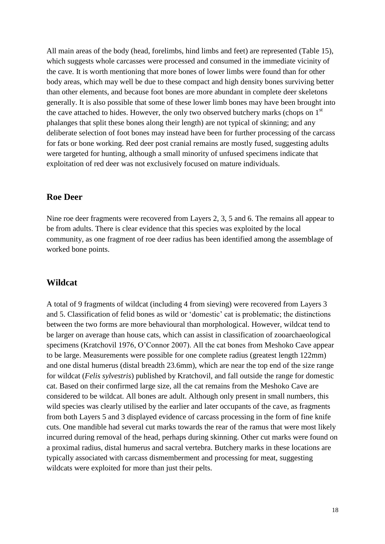All main areas of the body (head, forelimbs, hind limbs and feet) are represented (Table 15), which suggests whole carcasses were processed and consumed in the immediate vicinity of the cave. It is worth mentioning that more bones of lower limbs were found than for other body areas, which may well be due to these compact and high density bones surviving better than other elements, and because foot bones are more abundant in complete deer skeletons generally. It is also possible that some of these lower limb bones may have been brought into the cave attached to hides. However, the only two observed butchery marks (chops on  $1<sup>st</sup>$ phalanges that split these bones along their length) are not typical of skinning; and any deliberate selection of foot bones may instead have been for further processing of the carcass for fats or bone working. Red deer post cranial remains are mostly fused, suggesting adults were targeted for hunting, although a small minority of unfused specimens indicate that exploitation of red deer was not exclusively focused on mature individuals.

### <span id="page-17-0"></span>**Roe Deer**

Nine roe deer fragments were recovered from Layers 2, 3, 5 and 6. The remains all appear to be from adults. There is clear evidence that this species was exploited by the local community, as one fragment of roe deer radius has been identified among the assemblage of worked bone points.

#### <span id="page-17-1"></span>**Wildcat**

A total of 9 fragments of wildcat (including 4 from sieving) were recovered from Layers 3 and 5. Classification of felid bones as wild or 'domestic' cat is problematic; the distinctions between the two forms are more behavioural than morphological. However, wildcat tend to be larger on average than house cats, which can assist in classification of zooarchaeological specimens (Kratchovil 1976, O'Connor 2007). All the cat bones from Meshoko Cave appear to be large. Measurements were possible for one complete radius (greatest length 122mm) and one distal humerus (distal breadth 23.6mm), which are near the top end of the size range for wildcat (*Felis sylvestris*) published by Kratchovil, and fall outside the range for domestic cat. Based on their confirmed large size, all the cat remains from the Meshoko Cave are considered to be wildcat. All bones are adult. Although only present in small numbers, this wild species was clearly utilised by the earlier and later occupants of the cave, as fragments from both Layers 5 and 3 displayed evidence of carcass processing in the form of fine knife cuts. One mandible had several cut marks towards the rear of the ramus that were most likely incurred during removal of the head, perhaps during skinning. Other cut marks were found on a proximal radius, distal humerus and sacral vertebra. Butchery marks in these locations are typically associated with carcass dismemberment and processing for meat, suggesting wildcats were exploited for more than just their pelts.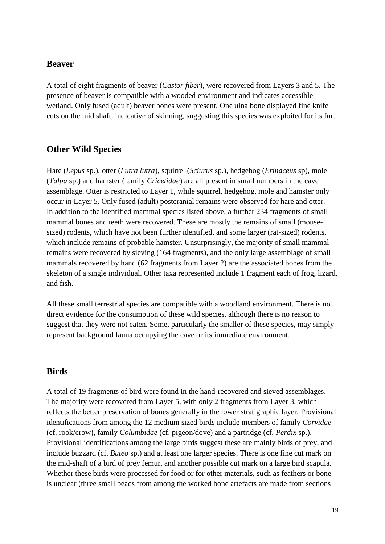### <span id="page-18-0"></span>**Beaver**

A total of eight fragments of beaver (*Castor fiber*), were recovered from Layers 3 and 5. The presence of beaver is compatible with a wooded environment and indicates accessible wetland. Only fused (adult) beaver bones were present. One ulna bone displayed fine knife cuts on the mid shaft, indicative of skinning, suggesting this species was exploited for its fur.

# <span id="page-18-1"></span>**Other Wild Species**

Hare (*Lepus* sp.), otter (*Lutra lutra*), squirrel (*Sciurus* sp.), hedgehog (*Erinaceus* sp), mole (*Talpa* sp.) and hamster (family *Cricetidae*) are all present in small numbers in the cave assemblage. Otter is restricted to Layer 1, while squirrel, hedgehog, mole and hamster only occur in Layer 5. Only fused (adult) postcranial remains were observed for hare and otter. In addition to the identified mammal species listed above, a further 234 fragments of small mammal bones and teeth were recovered. These are mostly the remains of small (mousesized) rodents, which have not been further identified, and some larger (rat-sized) rodents, which include remains of probable hamster. Unsurprisingly, the majority of small mammal remains were recovered by sieving (164 fragments), and the only large assemblage of small mammals recovered by hand (62 fragments from Layer 2) are the associated bones from the skeleton of a single individual. Other taxa represented include 1 fragment each of frog, lizard, and fish.

All these small terrestrial species are compatible with a woodland environment. There is no direct evidence for the consumption of these wild species, although there is no reason to suggest that they were not eaten. Some, particularly the smaller of these species, may simply represent background fauna occupying the cave or its immediate environment.

### <span id="page-18-2"></span>**Birds**

A total of 19 fragments of bird were found in the hand-recovered and sieved assemblages. The majority were recovered from Layer 5, with only 2 fragments from Layer 3, which reflects the better preservation of bones generally in the lower stratigraphic layer. Provisional identifications from among the 12 medium sized birds include members of family *Corvidae* (cf. rook/crow), family *Columbidae* (cf. pigeon/dove) and a partridge (cf. *Perdix* sp.). Provisional identifications among the large birds suggest these are mainly birds of prey, and include buzzard (cf. *Buteo* sp.) and at least one larger species. There is one fine cut mark on the mid-shaft of a bird of prey femur, and another possible cut mark on a large bird scapula. Whether these birds were processed for food or for other materials, such as feathers or bone is unclear (three small beads from among the worked bone artefacts are made from sections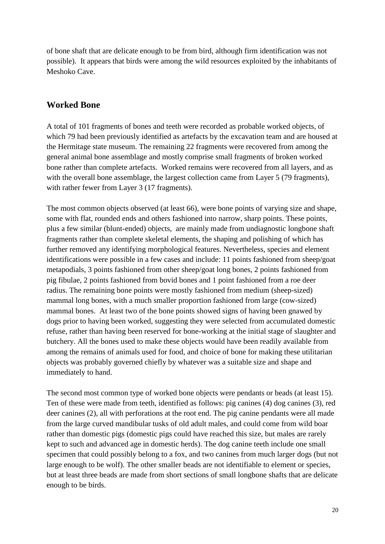of bone shaft that are delicate enough to be from bird, although firm identification was not possible). It appears that birds were among the wild resources exploited by the inhabitants of Meshoko Cave.

#### <span id="page-19-0"></span>**Worked Bone**

A total of 101 fragments of bones and teeth were recorded as probable worked objects, of which 79 had been previously identified as artefacts by the excavation team and are housed at the Hermitage state museum. The remaining 22 fragments were recovered from among the general animal bone assemblage and mostly comprise small fragments of broken worked bone rather than complete artefacts. Worked remains were recovered from all layers, and as with the overall bone assemblage, the largest collection came from Layer 5 (79 fragments), with rather fewer from Layer 3 (17 fragments).

The most common objects observed (at least 66), were bone points of varying size and shape, some with flat, rounded ends and others fashioned into narrow, sharp points. These points, plus a few similar (blunt-ended) objects, are mainly made from undiagnostic longbone shaft fragments rather than complete skeletal elements, the shaping and polishing of which has further removed any identifying morphological features. Nevertheless, species and element identifications were possible in a few cases and include: 11 points fashioned from sheep/goat metapodials, 3 points fashioned from other sheep/goat long bones, 2 points fashioned from pig fibulae, 2 points fashioned from bovid bones and 1 point fashioned from a roe deer radius. The remaining bone points were mostly fashioned from medium (sheep-sized) mammal long bones, with a much smaller proportion fashioned from large (cow-sized) mammal bones. At least two of the bone points showed signs of having been gnawed by dogs prior to having been worked, suggesting they were selected from accumulated domestic refuse, rather than having been reserved for bone-working at the initial stage of slaughter and butchery. All the bones used to make these objects would have been readily available from among the remains of animals used for food, and choice of bone for making these utilitarian objects was probably governed chiefly by whatever was a suitable size and shape and immediately to hand.

The second most common type of worked bone objects were pendants or beads (at least 15). Ten of these were made from teeth, identified as follows: pig canines (4) dog canines (3), red deer canines (2), all with perforations at the root end. The pig canine pendants were all made from the large curved mandibular tusks of old adult males, and could come from wild boar rather than domestic pigs (domestic pigs could have reached this size, but males are rarely kept to such and advanced age in domestic herds). The dog canine teeth include one small specimen that could possibly belong to a fox, and two canines from much larger dogs (but not large enough to be wolf). The other smaller beads are not identifiable to element or species, but at least three beads are made from short sections of small longbone shafts that are delicate enough to be birds.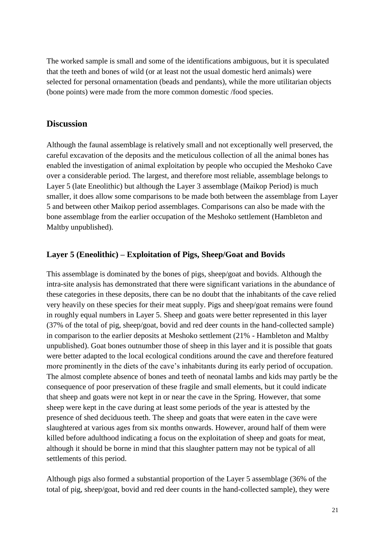The worked sample is small and some of the identifications ambiguous, but it is speculated that the teeth and bones of wild (or at least not the usual domestic herd animals) were selected for personal ornamentation (beads and pendants), while the more utilitarian objects (bone points) were made from the more common domestic /food species.

# <span id="page-20-0"></span>**Discussion**

Although the faunal assemblage is relatively small and not exceptionally well preserved, the careful excavation of the deposits and the meticulous collection of all the animal bones has enabled the investigation of animal exploitation by people who occupied the Meshoko Cave over a considerable period. The largest, and therefore most reliable, assemblage belongs to Layer 5 (late Eneolithic) but although the Layer 3 assemblage (Maikop Period) is much smaller, it does allow some comparisons to be made both between the assemblage from Layer 5 and between other Maikop period assemblages. Comparisons can also be made with the bone assemblage from the earlier occupation of the Meshoko settlement (Hambleton and Maltby unpublished).

### <span id="page-20-1"></span>**Layer 5 (Eneolithic) – Exploitation of Pigs, Sheep/Goat and Bovids**

This assemblage is dominated by the bones of pigs, sheep/goat and bovids. Although the intra-site analysis has demonstrated that there were significant variations in the abundance of these categories in these deposits, there can be no doubt that the inhabitants of the cave relied very heavily on these species for their meat supply. Pigs and sheep/goat remains were found in roughly equal numbers in Layer 5. Sheep and goats were better represented in this layer (37% of the total of pig, sheep/goat, bovid and red deer counts in the hand-collected sample) in comparison to the earlier deposits at Meshoko settlement (21% - Hambleton and Maltby unpublished). Goat bones outnumber those of sheep in this layer and it is possible that goats were better adapted to the local ecological conditions around the cave and therefore featured more prominently in the diets of the cave's inhabitants during its early period of occupation. The almost complete absence of bones and teeth of neonatal lambs and kids may partly be the consequence of poor preservation of these fragile and small elements, but it could indicate that sheep and goats were not kept in or near the cave in the Spring. However, that some sheep were kept in the cave during at least some periods of the year is attested by the presence of shed deciduous teeth. The sheep and goats that were eaten in the cave were slaughtered at various ages from six months onwards. However, around half of them were killed before adulthood indicating a focus on the exploitation of sheep and goats for meat, although it should be borne in mind that this slaughter pattern may not be typical of all settlements of this period.

Although pigs also formed a substantial proportion of the Layer 5 assemblage (36% of the total of pig, sheep/goat, bovid and red deer counts in the hand-collected sample), they were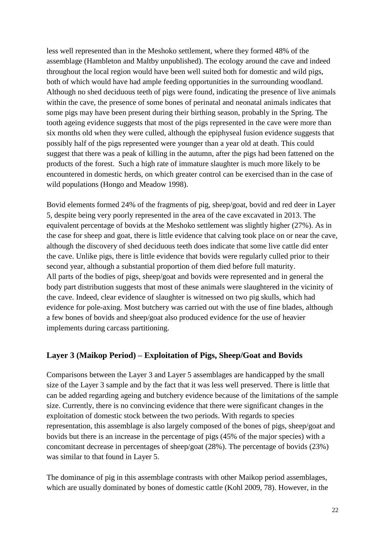less well represented than in the Meshoko settlement, where they formed 48% of the assemblage (Hambleton and Maltby unpublished). The ecology around the cave and indeed throughout the local region would have been well suited both for domestic and wild pigs, both of which would have had ample feeding opportunities in the surrounding woodland. Although no shed deciduous teeth of pigs were found, indicating the presence of live animals within the cave, the presence of some bones of perinatal and neonatal animals indicates that some pigs may have been present during their birthing season, probably in the Spring. The tooth ageing evidence suggests that most of the pigs represented in the cave were more than six months old when they were culled, although the epiphyseal fusion evidence suggests that possibly half of the pigs represented were younger than a year old at death. This could suggest that there was a peak of killing in the autumn, after the pigs had been fattened on the products of the forest. Such a high rate of immature slaughter is much more likely to be encountered in domestic herds, on which greater control can be exercised than in the case of wild populations (Hongo and Meadow 1998).

Bovid elements formed 24% of the fragments of pig, sheep/goat, bovid and red deer in Layer 5, despite being very poorly represented in the area of the cave excavated in 2013. The equivalent percentage of bovids at the Meshoko settlement was slightly higher (27%). As in the case for sheep and goat, there is little evidence that calving took place on or near the cave, although the discovery of shed deciduous teeth does indicate that some live cattle did enter the cave. Unlike pigs, there is little evidence that bovids were regularly culled prior to their second year, although a substantial proportion of them died before full maturity. All parts of the bodies of pigs, sheep/goat and bovids were represented and in general the body part distribution suggests that most of these animals were slaughtered in the vicinity of the cave. Indeed, clear evidence of slaughter is witnessed on two pig skulls, which had evidence for pole-axing. Most butchery was carried out with the use of fine blades, although a few bones of bovids and sheep/goat also produced evidence for the use of heavier implements during carcass partitioning.

# <span id="page-21-0"></span>**Layer 3 (Maikop Period) – Exploitation of Pigs, Sheep/Goat and Bovids**

Comparisons between the Layer 3 and Layer 5 assemblages are handicapped by the small size of the Layer 3 sample and by the fact that it was less well preserved. There is little that can be added regarding ageing and butchery evidence because of the limitations of the sample size. Currently, there is no convincing evidence that there were significant changes in the exploitation of domestic stock between the two periods. With regards to species representation, this assemblage is also largely composed of the bones of pigs, sheep/goat and bovids but there is an increase in the percentage of pigs (45% of the major species) with a concomitant decrease in percentages of sheep/goat (28%). The percentage of bovids (23%) was similar to that found in Layer 5.

The dominance of pig in this assemblage contrasts with other Maikop period assemblages, which are usually dominated by bones of domestic cattle (Kohl 2009, 78). However, in the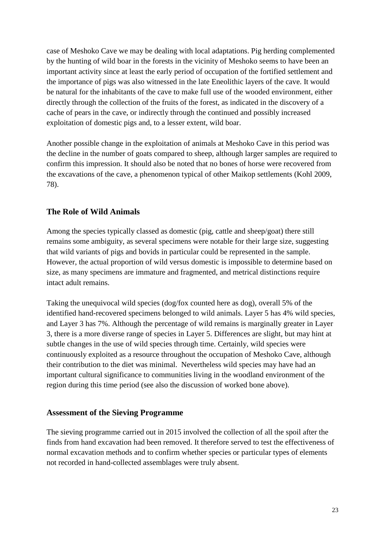case of Meshoko Cave we may be dealing with local adaptations. Pig herding complemented by the hunting of wild boar in the forests in the vicinity of Meshoko seems to have been an important activity since at least the early period of occupation of the fortified settlement and the importance of pigs was also witnessed in the late Eneolithic layers of the cave. It would be natural for the inhabitants of the cave to make full use of the wooded environment, either directly through the collection of the fruits of the forest, as indicated in the discovery of a cache of pears in the cave, or indirectly through the continued and possibly increased exploitation of domestic pigs and, to a lesser extent, wild boar.

Another possible change in the exploitation of animals at Meshoko Cave in this period was the decline in the number of goats compared to sheep, although larger samples are required to confirm this impression. It should also be noted that no bones of horse were recovered from the excavations of the cave, a phenomenon typical of other Maikop settlements (Kohl 2009, 78).

### <span id="page-22-0"></span>**The Role of Wild Animals**

Among the species typically classed as domestic (pig, cattle and sheep/goat) there still remains some ambiguity, as several specimens were notable for their large size, suggesting that wild variants of pigs and bovids in particular could be represented in the sample. However, the actual proportion of wild versus domestic is impossible to determine based on size, as many specimens are immature and fragmented, and metrical distinctions require intact adult remains.

Taking the unequivocal wild species (dog/fox counted here as dog), overall 5% of the identified hand-recovered specimens belonged to wild animals. Layer 5 has 4% wild species, and Layer 3 has 7%. Although the percentage of wild remains is marginally greater in Layer 3, there is a more diverse range of species in Layer 5. Differences are slight, but may hint at subtle changes in the use of wild species through time. Certainly, wild species were continuously exploited as a resource throughout the occupation of Meshoko Cave, although their contribution to the diet was minimal. Nevertheless wild species may have had an important cultural significance to communities living in the woodland environment of the region during this time period (see also the discussion of worked bone above).

#### <span id="page-22-1"></span>**Assessment of the Sieving Programme**

The sieving programme carried out in 2015 involved the collection of all the spoil after the finds from hand excavation had been removed. It therefore served to test the effectiveness of normal excavation methods and to confirm whether species or particular types of elements not recorded in hand-collected assemblages were truly absent.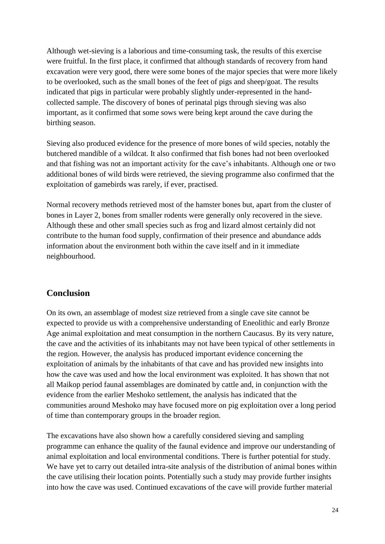Although wet-sieving is a laborious and time-consuming task, the results of this exercise were fruitful. In the first place, it confirmed that although standards of recovery from hand excavation were very good, there were some bones of the major species that were more likely to be overlooked, such as the small bones of the feet of pigs and sheep/goat. The results indicated that pigs in particular were probably slightly under-represented in the handcollected sample. The discovery of bones of perinatal pigs through sieving was also important, as it confirmed that some sows were being kept around the cave during the birthing season.

Sieving also produced evidence for the presence of more bones of wild species, notably the butchered mandible of a wildcat. It also confirmed that fish bones had not been overlooked and that fishing was not an important activity for the cave's inhabitants. Although one or two additional bones of wild birds were retrieved, the sieving programme also confirmed that the exploitation of gamebirds was rarely, if ever, practised.

Normal recovery methods retrieved most of the hamster bones but, apart from the cluster of bones in Layer 2, bones from smaller rodents were generally only recovered in the sieve. Although these and other small species such as frog and lizard almost certainly did not contribute to the human food supply, confirmation of their presence and abundance adds information about the environment both within the cave itself and in it immediate neighbourhood.

# <span id="page-23-0"></span>**Conclusion**

On its own, an assemblage of modest size retrieved from a single cave site cannot be expected to provide us with a comprehensive understanding of Eneolithic and early Bronze Age animal exploitation and meat consumption in the northern Caucasus. By its very nature, the cave and the activities of its inhabitants may not have been typical of other settlements in the region. However, the analysis has produced important evidence concerning the exploitation of animals by the inhabitants of that cave and has provided new insights into how the cave was used and how the local environment was exploited. It has shown that not all Maikop period faunal assemblages are dominated by cattle and, in conjunction with the evidence from the earlier Meshoko settlement, the analysis has indicated that the communities around Meshoko may have focused more on pig exploitation over a long period of time than contemporary groups in the broader region.

The excavations have also shown how a carefully considered sieving and sampling programme can enhance the quality of the faunal evidence and improve our understanding of animal exploitation and local environmental conditions. There is further potential for study. We have yet to carry out detailed intra-site analysis of the distribution of animal bones within the cave utilising their location points. Potentially such a study may provide further insights into how the cave was used. Continued excavations of the cave will provide further material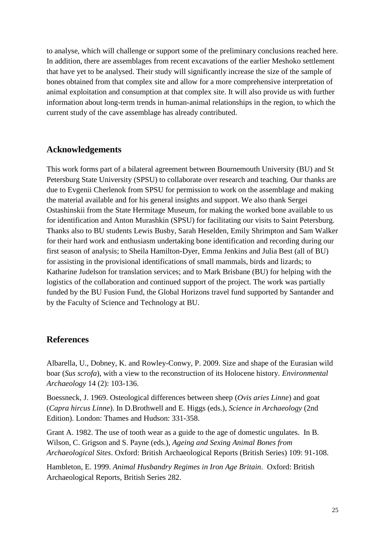to analyse, which will challenge or support some of the preliminary conclusions reached here. In addition, there are assemblages from recent excavations of the earlier Meshoko settlement that have yet to be analysed. Their study will significantly increase the size of the sample of bones obtained from that complex site and allow for a more comprehensive interpretation of animal exploitation and consumption at that complex site. It will also provide us with further information about long-term trends in human-animal relationships in the region, to which the current study of the cave assemblage has already contributed.

### <span id="page-24-0"></span>**Acknowledgements**

This work forms part of a bilateral agreement between Bournemouth University (BU) and St Petersburg State University (SPSU) to collaborate over research and teaching. Our thanks are due to Evgenii Cherlenok from SPSU for permission to work on the assemblage and making the material available and for his general insights and support. We also thank Sergei Ostashinskii from the State Hermitage Museum, for making the worked bone available to us for identification and Anton Murashkin (SPSU) for facilitating our visits to Saint Petersburg. Thanks also to BU students Lewis Busby, Sarah Heselden, Emily Shrimpton and Sam Walker for their hard work and enthusiasm undertaking bone identification and recording during our first season of analysis; to Sheila Hamilton-Dyer, Emma Jenkins and Julia Best (all of BU) for assisting in the provisional identifications of small mammals, birds and lizards; to Katharine Judelson for translation services; and to Mark Brisbane (BU) for helping with the logistics of the collaboration and continued support of the project. The work was partially funded by the BU Fusion Fund, the Global Horizons travel fund supported by Santander and by the Faculty of Science and Technology at BU.

# <span id="page-24-1"></span>**References**

Albarella, U., Dobney, K. and Rowley-Conwy, P. 2009. Size and shape of the Eurasian wild boar (*Sus scrofa*), with a view to the reconstruction of its Holocene history. *Environmental Archaeology* 14 (2): 103-136.

Boessneck, J. 1969. Osteological differences between sheep (*Ovis aries Linne*) and goat (*Capra hircus Linne*). In D.Brothwell and E. Higgs (eds.), *Science in Archaeology* (2nd Edition). London: Thames and Hudson: 331-358.

Grant A. 1982. The use of tooth wear as a guide to the age of domestic ungulates. In B. Wilson, C. Grigson and S. Payne (eds.), *Ageing and Sexing Animal Bones from Archaeological Sites*. Oxford: British Archaeological Reports (British Series) 109: 91-108.

Hambleton, E. 1999. *Animal Husbandry Regimes in Iron Age Britain*. Oxford: British Archaeological Reports, British Series 282.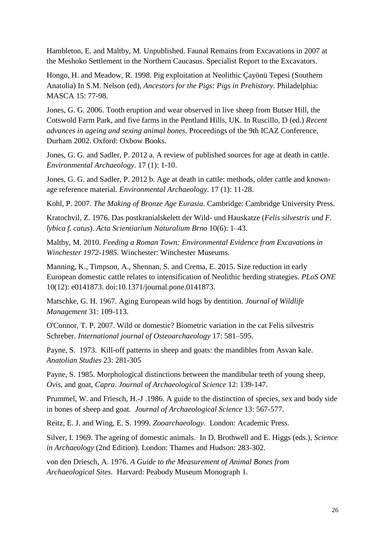Hambleton, E. and Maltby, M. Unpublished. Faunal Remains from Excavations in 2007 at the Meshoko Settlement in the Northern Caucasus. Specialist Report to the Excavators.

Hongo, H. and Meadow, R. 1998. Pig exploitation at Neolithic Çayönü Tepesi (Southern Anatolia) In S.M. Nelson (ed), *Ancestors for the Pigs: Pigs in Prehistory.* Philadelphia: MASCA 15: 77-98.

Jones, G. G. 2006. Tooth eruption and wear observed in live sheep from Butser Hill, the Cotswold Farm Park, and five farms in the Pentland Hills, UK. In Ruscillo, D (ed.) *Recent advances in ageing and sexing animal bones*. Proceedings of the 9th ICAZ Conference, Durham 2002. Oxford: Oxbow Books.

Jones, G. G. and Sadler, P. 2012 a. A review of published sources for age at death in cattle. *Environmental Archaeology*. 17 (1): 1-10.

Jones, G. G. and Sadler, P. 2012 b. Age at death in cattle: methods, older cattle and knownage reference material. *Environmental Archaeology*. 17 (1): 11-28.

Kohl, P. 2007. *The Making of Bronze Age Eurasia.* Cambridge: Cambridge University Press.

Kratochvil, Z. 1976. Das postkranialskelett der Wild- und Hauskatze (*Felis silvestris und F. lybica f. catus*). *Acta Scientiarium Naturalium Brno* 10(6): 1–43.

Maltby, M. 2010. *Feeding a Roman Town: Environmental Evidence from Excavations in Winchester 1972-1985*. Winchester: Winchester Museums.

Manning, K., Timpson, A., Shennan, S. and Crema, E. 2015. Size reduction in early European domestic cattle relates to intensification of Neolithic herding strategies. *PLoS ONE* 10(12): e0141873. doi:10.1371/journal.pone.0141873.

Matschke, G. H. 1967. Aging European wild hogs by dentition. *Journal of Wildlife Management* 31: 109-113.

O'Connor, T. P. 2007. Wild or domestic? Biometric variation in the cat Felis silvestris Schreber. *International journal of Osteoarchaeology* 17: 581–595.

Payne, S. 1973. Kill-off patterns in sheep and goats: the mandibles from Asvan kale. *Anatolian Studies* 23: 281-305

Payne, S. 1985. Morphological distinctions between the mandibular teeth of young sheep, *Ovis*, and goat, *Capra*. *Journal of Archaeological Science* 12: 139-147.

Prummel, W. and Friesch, H.-J .1986. A guide to the distinction of species, sex and body side in bones of sheep and goat. *Journal of Archaeological Science* 13: 567-577.

Reitz, E. J. and Wing, E. S. 1999. *Zooarchaeology*. London: Academic Press.

Silver, I. 1969. The ageing of domestic animals. In D. Brothwell and E. Higgs (eds.), *Science in Archaeology* (2nd Edition). London: Thames and Hudson: 283-302.

von den Driesch, A. 1976. *A Guide to the Measurement of Animal Bones from Archaeological Sites.* Harvard: Peabody Museum Monograph 1.